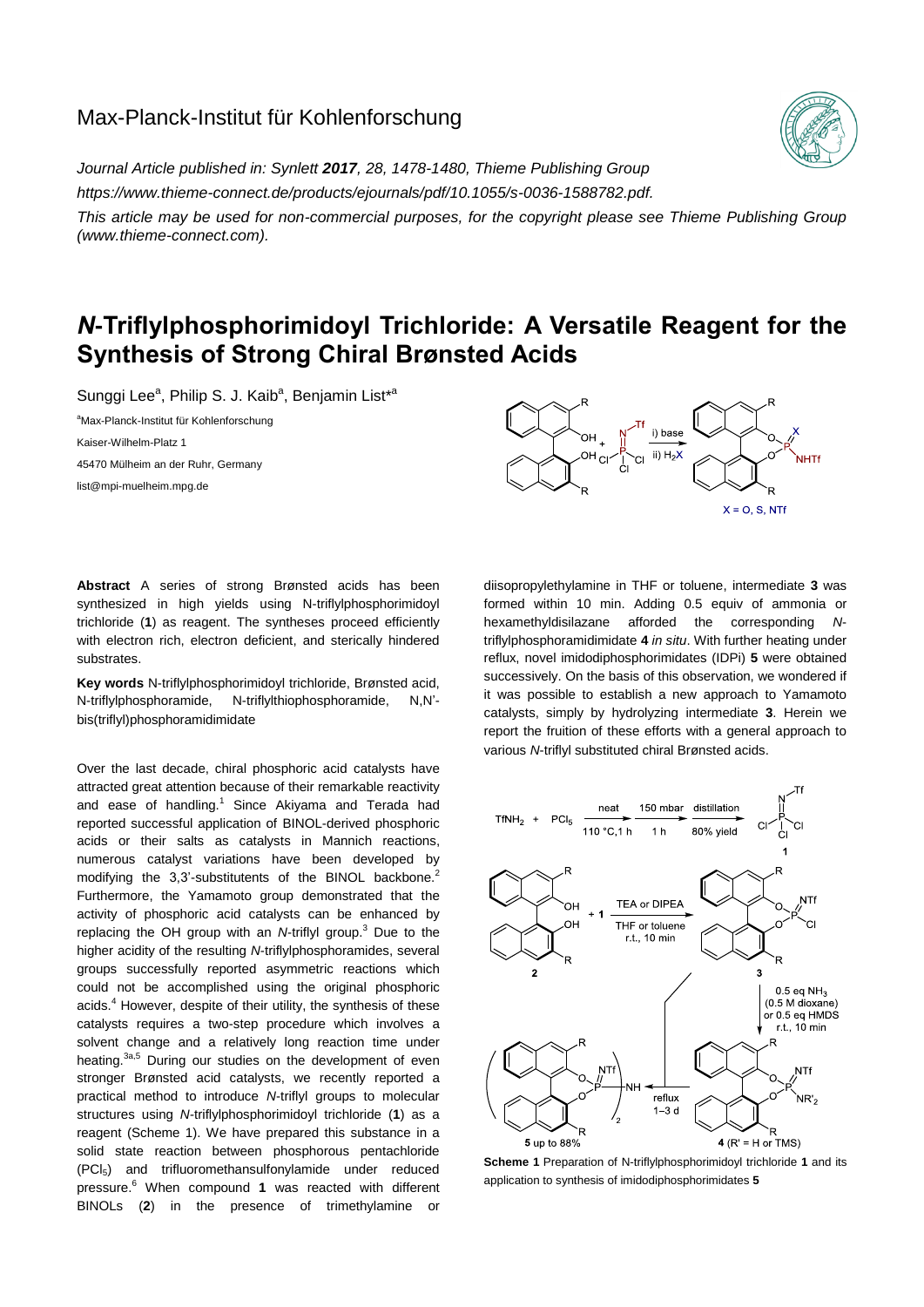## Max-Planck-Institut für Kohlenforschung

*Journal Article published in: Synlett 2017, 28, 1478-1480, Thieme Publishing Group https://www.thieme-connect.de/products/ejournals/pdf/10.1055/s-0036-1588782.pdf.* 

*This article may be used for non-commercial purposes, for the copyright please see Thieme Publishing Group (www.thieme-connect.com).*

# *N***-Triflylphosphorimidoyl Trichloride: A Versatile Reagent for the Synthesis of Strong Chiral Brønsted Acids**

Sunggi Lee<sup>a</sup>, Philip S. J. Kaib<sup>a</sup>, Benjamin List<sup>\*a</sup>

<sup>a</sup>Max-Planck-Institut für Kohlenforschung Kaiser-Wilhelm-Platz 1 45470 Mülheim an der Ruhr, Germany list@mpi-muelheim.mpg.de



**Abstract** A series of strong Brønsted acids has been synthesized in high yields using N-triflylphosphorimidoyl trichloride (**1**) as reagent. The syntheses proceed efficiently with electron rich, electron deficient, and sterically hindered substrates.

**Key words** N-triflylphosphorimidoyl trichloride, Brønsted acid, N-triflylphosphoramide, N-triflylthiophosphoramide, N,N' bis(triflyl)phosphoramidimidate

Over the last decade, chiral phosphoric acid catalysts have attracted great attention because of their remarkable reactivity and ease of handling.<sup>1</sup> Since Akiyama and Terada had reported successful application of BINOL-derived phosphoric acids or their salts as catalysts in Mannich reactions, numerous catalyst variations have been developed by modifying the 3,3'-substitutents of the BINOL backbone.<sup>2</sup> Furthermore, the Yamamoto group demonstrated that the activity of phosphoric acid catalysts can be enhanced by replacing the OH group with an *N*-triflyl group.<sup>3</sup> Due to the higher acidity of the resulting *N*-triflylphosphoramides, several groups successfully reported asymmetric reactions which could not be accomplished using the original phosphoric acids.<sup>4</sup> However, despite of their utility, the synthesis of these catalysts requires a two-step procedure which involves a solvent change and a relatively long reaction time under heating.<sup>3a,5</sup> During our studies on the development of even stronger Brønsted acid catalysts, we recently reported a practical method to introduce *N*-triflyl groups to molecular structures using *N-*triflylphosphorimidoyl trichloride (**1**) as a reagent (Scheme 1). We have prepared this substance in a solid state reaction between phosphorous pentachloride (PCl5) and trifluoromethansulfonylamide under reduced pressure. <sup>6</sup> When compound **1** was reacted with different BINOLs (**2**) in the presence of trimethylamine or

diisopropylethylamine in THF or toluene, intermediate **3** was formed within 10 min. Adding 0.5 equiv of ammonia or hexamethyldisilazane afforded the corresponding *N*triflylphosphoramidimidate **4** *in situ*. With further heating under reflux, novel imidodiphosphorimidates (IDPi) **5** were obtained successively. On the basis of this observation, we wondered if it was possible to establish a new approach to Yamamoto catalysts, simply by hydrolyzing intermediate **3**. Herein we report the fruition of these efforts with a general approach to various *N*-triflyl substituted chiral Brønsted acids.



**Scheme 1** Preparation of N-triflylphosphorimidoyl trichloride **1** and its application to synthesis of imidodiphosphorimidates **5**

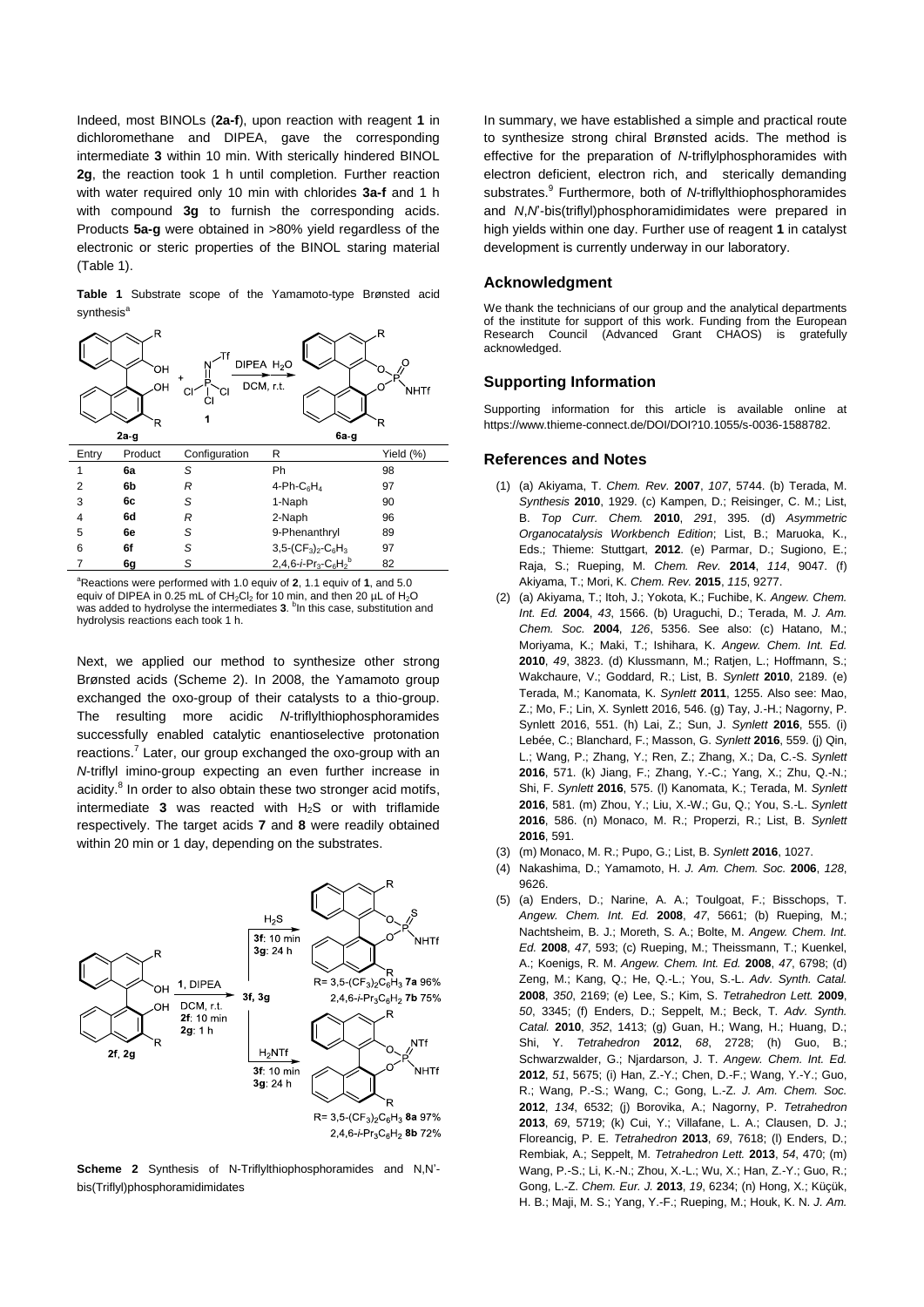Indeed, most BINOLs (**2a-f**), upon reaction with reagent **1** in dichloromethane and DIPEA, gave the corresponding intermediate **3** within 10 min. With sterically hindered BINOL **2g**, the reaction took 1 h until completion. Further reaction with water required only 10 min with chlorides **3a-f** and 1 h with compound **3g** to furnish the corresponding acids. Products **5a-g** were obtained in >80% yield regardless of the electronic or steric properties of the BINOL staring material (Table 1).

**Table 1** Substrate scope of the Yamamoto-type Brønsted acid synthesis<sup>a</sup>



<sup>a</sup>Reactions were performed with 1.0 equiv of 2, 1.1 equiv of 1, and 5.0 equiv of DIPEA in 0.25 mL of CH<sub>2</sub>Cl<sub>2</sub> for 10 min, and then 20 µL of H<sub>2</sub>O<br>was added to hydrolyse the intermediates **3**. <sup>b</sup>In this case, substitution and hydrolysis reactions each took 1 h.

b

82

7 **6g** *S* 2,4,6-*i*-Pr3-C6H<sup>2</sup>

Next, we applied our method to synthesize other strong Brønsted acids (Scheme 2). In 2008, the Yamamoto group exchanged the oxo-group of their catalysts to a thio-group. The resulting more acidic *N*-triflylthiophosphoramides successfully enabled catalytic enantioselective protonation reactions.<sup>7</sup> Later, our group exchanged the oxo-group with an *N*-triflyl imino-group expecting an even further increase in acidity.<sup>8</sup> In order to also obtain these two stronger acid motifs, intermediate  $3$  was reacted with  $H_2S$  or with triflamide respectively. The target acids **7** and **8** were readily obtained within 20 min or 1 day, depending on the substrates.



**Scheme 2** Synthesis of N-Triflylthiophosphoramides and N,N' bis(Triflyl)phosphoramidimidates

In summary, we have established a simple and practical route to synthesize strong chiral Brønsted acids. The method is effective for the preparation of *N*-triflylphosphoramides with electron deficient, electron rich, and sterically demanding substrates. 9 Furthermore, both of *N*-triflylthiophosphoramides and *N*,*N*'-bis(triflyl)phosphoramidimidates were prepared in high yields within one day. Further use of reagent **1** in catalyst development is currently underway in our laboratory.

#### **Acknowledgment**

We thank the technicians of our group and the analytical departments of the institute for support of this work. Funding from the European Research Council (Advanced Grant CHAOS) is gratefully acknowledged.

#### **Supporting Information**

Supporting information for this article is available online at https://www.thieme-connect.de/DOI/DOI?10.1055/s-0036-1588782.

### **References and Notes**

- (1) (a) Akiyama, T. *Chem. Rev.* **2007**, *107*, 5744. (b) Terada, M. *Synthesis* **2010**, 1929. (c) Kampen, D.; Reisinger, C. M.; List, B. *Top Curr. Chem.* **2010**, *291*, 395. (d) *Asymmetric Organocatalysis Workbench Edition*; List, B.; Maruoka, K., Eds.; Thieme: Stuttgart, **2012**. (e) Parmar, D.; Sugiono, E.; Raja, S.; Rueping, M. *Chem. Rev.* **2014**, *114*, 9047. (f) Akiyama, T.; Mori, K. *Chem. Rev.* **2015**, *115*, 9277.
- (2) (a) Akiyama, T.; Itoh, J.; Yokota, K.; Fuchibe, K. *Angew. Chem. Int. Ed.* **2004**, *43*, 1566. (b) Uraguchi, D.; Terada, M. *J. Am. Chem. Soc.* **2004**, *126*, 5356. See also: (c) Hatano, M.; Moriyama, K.; Maki, T.; Ishihara, K. *Angew. Chem. Int. Ed.*  **2010**, *49*, 3823. (d) Klussmann, M.; Ratjen, L.; Hoffmann, S.; Wakchaure, V.; Goddard, R.; List, B. *Synlett* **2010**, 2189. (e) Terada, M.; Kanomata, K. *Synlett* **2011**, 1255. Also see: Mao, Z.; Mo, F.; Lin, X. Synlett 2016, 546. (g) Tay, J.-H.; Nagorny, P. Synlett 2016, 551. (h) Lai, Z.; Sun, J. *Synlett* **2016**, 555. (i) Lebée, C.; Blanchard, F.; Masson, G. *Synlett* **2016**, 559. (j) Qin, L.; Wang, P.; Zhang, Y.; Ren, Z.; Zhang, X.; Da, C.-S. *Synlett* **2016**, 571. (k) Jiang, F.; Zhang, Y.-C.; Yang, X.; Zhu, Q.-N.; Shi, F. *Synlett* **2016**, 575. (l) Kanomata, K.; Terada, M. *Synlett* **2016**, 581. (m) Zhou, Y.; Liu, X.-W.; Gu, Q.; You, S.-L. *Synlett* **2016**, 586. (n) Monaco, M. R.; Properzi, R.; List, B. *Synlett* **2016**, 591.
- (3) (m) Monaco, M. R.; Pupo, G.; List, B. *Synlett* **2016**, 1027.
- (4) Nakashima, D.; Yamamoto, H. *J. Am. Chem. Soc.* **2006**, *128*, 9626.
- (5) (a) Enders, D.; Narine, A. A.; Toulgoat, F.; Bisschops, T. *Angew. Chem. Int. Ed.* **2008**, *47*, 5661; (b) Rueping, M.; Nachtsheim, B. J.; Moreth, S. A.; Bolte, M. *Angew. Chem. Int. Ed.* **2008**, *47*, 593; (c) Rueping, M.; Theissmann, T.; Kuenkel, A.; Koenigs, R. M. *Angew. Chem. Int. Ed.* **2008**, *47*, 6798; (d) Zeng, M.; Kang, Q.; He, Q.-L.; You, S.-L. *Adv. Synth. Catal.* **2008**, *350*, 2169; (e) Lee, S.; Kim, S. *Tetrahedron Lett.* **2009**, *50*, 3345; (f) Enders, D.; Seppelt, M.; Beck, T. *Adv. Synth. Catal.* **2010**, *352*, 1413; (g) Guan, H.; Wang, H.; Huang, D.; Shi, Y. *Tetrahedron* **2012**, *68*, 2728; (h) Guo, B.; Schwarzwalder, G.; Njardarson, J. T. *Angew. Chem. Int. Ed.* **2012**, *51*, 5675; (i) Han, Z.-Y.; Chen, D.-F.; Wang, Y.-Y.; Guo, R.; Wang, P.-S.; Wang, C.; Gong, L.-Z. *J. Am. Chem. Soc.* **2012**, *134*, 6532; (j) Borovika, A.; Nagorny, P. *Tetrahedron* **2013**, *69*, 5719; (k) Cui, Y.; Villafane, L. A.; Clausen, D. J.; Floreancig, P. E. *Tetrahedron* **2013**, *69*, 7618; (l) Enders, D.; Rembiak, A.; Seppelt, M. *Tetrahedron Lett.* **2013**, *54*, 470; (m) Wang, P.-S.; Li, K.-N.; Zhou, X.-L.; Wu, X.; Han, Z.-Y.; Guo, R.; Gong, L.-Z. *Chem. Eur. J.* **2013**, *19*, 6234; (n) Hong, X.; Küçük, H. B.; Maji, M. S.; Yang, Y.-F.; Rueping, M.; Houk, K. N. *J. Am.*